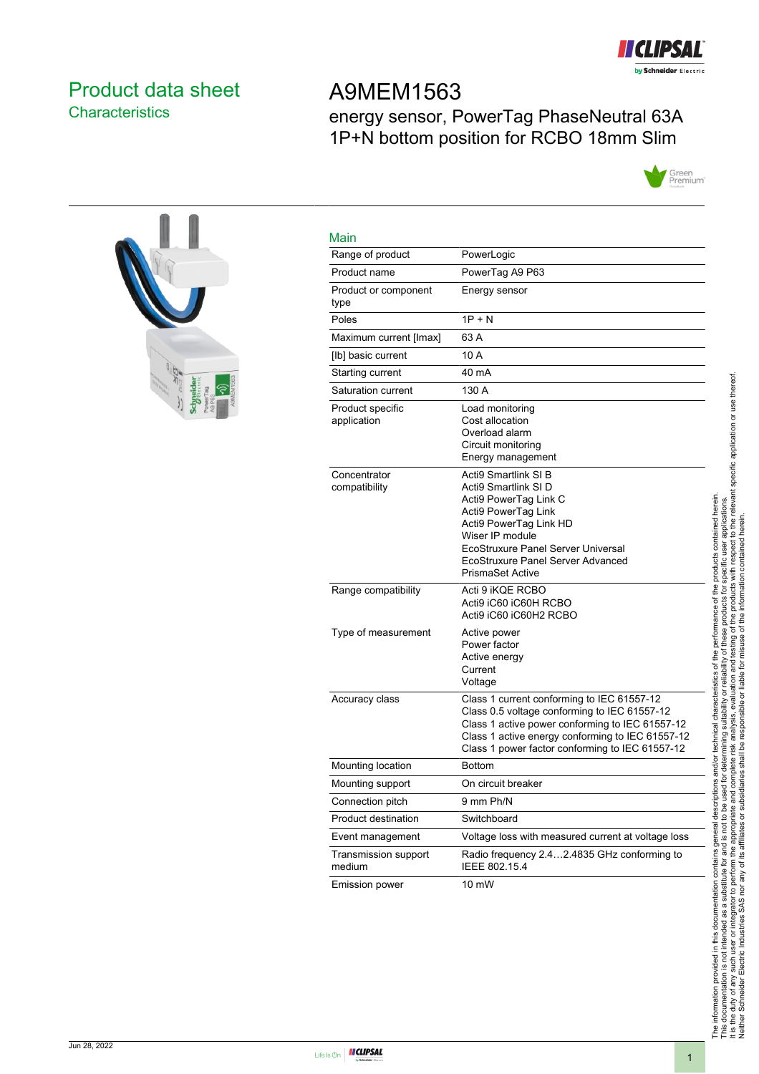

# <span id="page-0-0"></span>Product data sheet **Characteristics**

# A9MEM1563 energy sensor, PowerTag PhaseNeutral 63A 1P+N bottom position for RCBO 18mm Slim





| <b>Main</b>                     |                                                                                                                                                                                                                                                        |
|---------------------------------|--------------------------------------------------------------------------------------------------------------------------------------------------------------------------------------------------------------------------------------------------------|
| Range of product                | PowerLogic                                                                                                                                                                                                                                             |
| Product name                    | PowerTag A9 P63                                                                                                                                                                                                                                        |
| Product or component<br>type    | Energy sensor                                                                                                                                                                                                                                          |
| Poles                           | $1P + N$                                                                                                                                                                                                                                               |
| Maximum current [Imax]          | 63 A                                                                                                                                                                                                                                                   |
| [lb] basic current              | 10 A                                                                                                                                                                                                                                                   |
| Starting current                | 40 mA                                                                                                                                                                                                                                                  |
| Saturation current              | 130 A                                                                                                                                                                                                                                                  |
| Product specific<br>application | Load monitoring<br>Cost allocation<br>Overload alarm<br>Circuit monitoring<br>Energy management                                                                                                                                                        |
| Concentrator<br>compatibility   | <b>Acti9 Smartlink SI B</b><br>Acti9 Smartlink SI D<br>Acti9 PowerTag Link C<br>Acti9 PowerTag Link<br>Acti9 PowerTag Link HD<br>Wiser IP module<br>EcoStruxure Panel Server Universal<br>EcoStruxure Panel Server Advanced<br><b>PrismaSet Active</b> |
| Range compatibility             | Acti 9 iKQE RCBO<br>Acti9 iC60 iC60H RCBO<br>Acti9 iC60 iC60H2 RCBO                                                                                                                                                                                    |
| Type of measurement             | Active power<br>Power factor<br>Active energy<br>Current<br>Voltage                                                                                                                                                                                    |
| Accuracy class                  | Class 1 current conforming to IEC 61557-12<br>Class 0.5 voltage conforming to IEC 61557-12<br>Class 1 active power conforming to IEC 61557-12<br>Class 1 active energy conforming to IEC 61557-12<br>Class 1 power factor conforming to IEC 61557-12   |
| Mounting location               | <b>Bottom</b>                                                                                                                                                                                                                                          |
| Mounting support                | On circuit breaker                                                                                                                                                                                                                                     |
| Connection pitch                | 9 mm Ph/N                                                                                                                                                                                                                                              |
| Product destination             | Switchboard                                                                                                                                                                                                                                            |
| Event management                | Voltage loss with measured current at voltage loss                                                                                                                                                                                                     |
| Transmission support<br>medium  | Radio frequency 2.42.4835 GHz conforming to<br>IEEE 802.15.4                                                                                                                                                                                           |
| <b>Emission power</b>           | 10 mW                                                                                                                                                                                                                                                  |



Main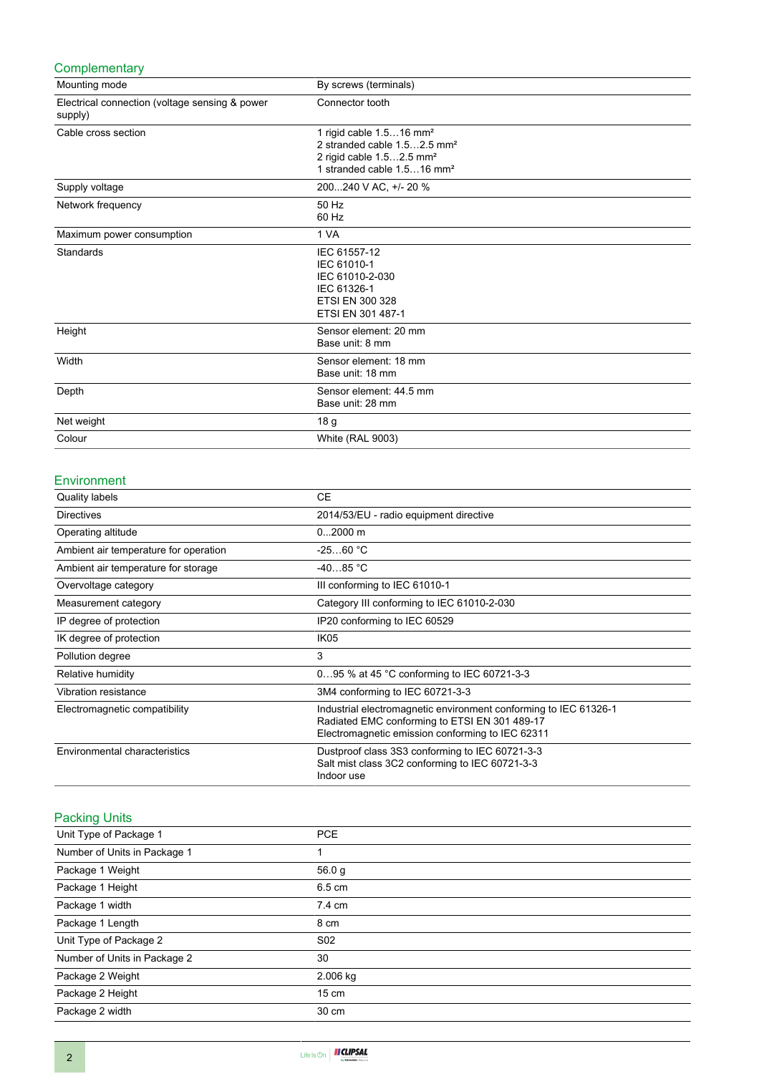## **Complementary**

| Mounting mode                                             | By screws (terminals)                                                                                                                                            |
|-----------------------------------------------------------|------------------------------------------------------------------------------------------------------------------------------------------------------------------|
| Electrical connection (voltage sensing & power<br>supply) | Connector tooth                                                                                                                                                  |
| Cable cross section                                       | 1 rigid cable 1.516 mm <sup>2</sup><br>2 stranded cable 1.52.5 mm <sup>2</sup><br>2 rigid cable 1.52.5 mm <sup>2</sup><br>1 stranded cable 1.516 mm <sup>2</sup> |
| Supply voltage                                            | 200240 V AC, +/- 20 %                                                                                                                                            |
| Network frequency                                         | 50 Hz<br>60 Hz                                                                                                                                                   |
| Maximum power consumption                                 | 1 VA                                                                                                                                                             |
| Standards                                                 | IEC 61557-12<br>IEC 61010-1<br>IEC 61010-2-030<br>IEC 61326-1<br>ETSI EN 300 328<br>ETSI EN 301 487-1                                                            |
| Height                                                    | Sensor element: 20 mm<br>Base unit: 8 mm                                                                                                                         |
| Width                                                     | Sensor element: 18 mm<br>Base unit: 18 mm                                                                                                                        |
| Depth                                                     | Sensor element: 44.5 mm<br>Base unit: 28 mm                                                                                                                      |
| Net weight                                                | 18 <sub>g</sub>                                                                                                                                                  |
| Colour                                                    | <b>White (RAL 9003)</b>                                                                                                                                          |

#### Environment

| Quality labels                        | <b>CE</b>                                                                                                                                                             |
|---------------------------------------|-----------------------------------------------------------------------------------------------------------------------------------------------------------------------|
| <b>Directives</b>                     | 2014/53/EU - radio equipment directive                                                                                                                                |
| Operating altitude                    | $02000$ m                                                                                                                                                             |
| Ambient air temperature for operation | $-2560 °C$                                                                                                                                                            |
| Ambient air temperature for storage   | $-4085 °C$                                                                                                                                                            |
| Overvoltage category                  | III conforming to IEC 61010-1                                                                                                                                         |
| Measurement category                  | Category III conforming to IEC 61010-2-030                                                                                                                            |
| IP degree of protection               | IP20 conforming to IEC 60529                                                                                                                                          |
| IK degree of protection               | IK <sub>05</sub>                                                                                                                                                      |
| Pollution degree                      | 3                                                                                                                                                                     |
| Relative humidity                     | 095 % at 45 °C conforming to IEC 60721-3-3                                                                                                                            |
| Vibration resistance                  | 3M4 conforming to IEC 60721-3-3                                                                                                                                       |
| Electromagnetic compatibility         | Industrial electromagnetic environment conforming to IEC 61326-1<br>Radiated EMC conforming to ETSI EN 301 489-17<br>Electromagnetic emission conforming to IEC 62311 |
| Environmental characteristics         | Dustproof class 3S3 conforming to IEC 60721-3-3<br>Salt mist class 3C2 conforming to IEC 60721-3-3<br>Indoor use                                                      |

## Packing Units

| Unit Type of Package 1       | <b>PCE</b>      |
|------------------------------|-----------------|
| Number of Units in Package 1 |                 |
| Package 1 Weight             | 56.0 g          |
| Package 1 Height             | 6.5 cm          |
| Package 1 width              | 7.4 cm          |
| Package 1 Length             | 8 cm            |
| Unit Type of Package 2       | S <sub>02</sub> |
| Number of Units in Package 2 | 30              |
| Package 2 Weight             | 2.006 kg        |
| Package 2 Height             | $15 \text{ cm}$ |
| Package 2 width              | 30 cm           |